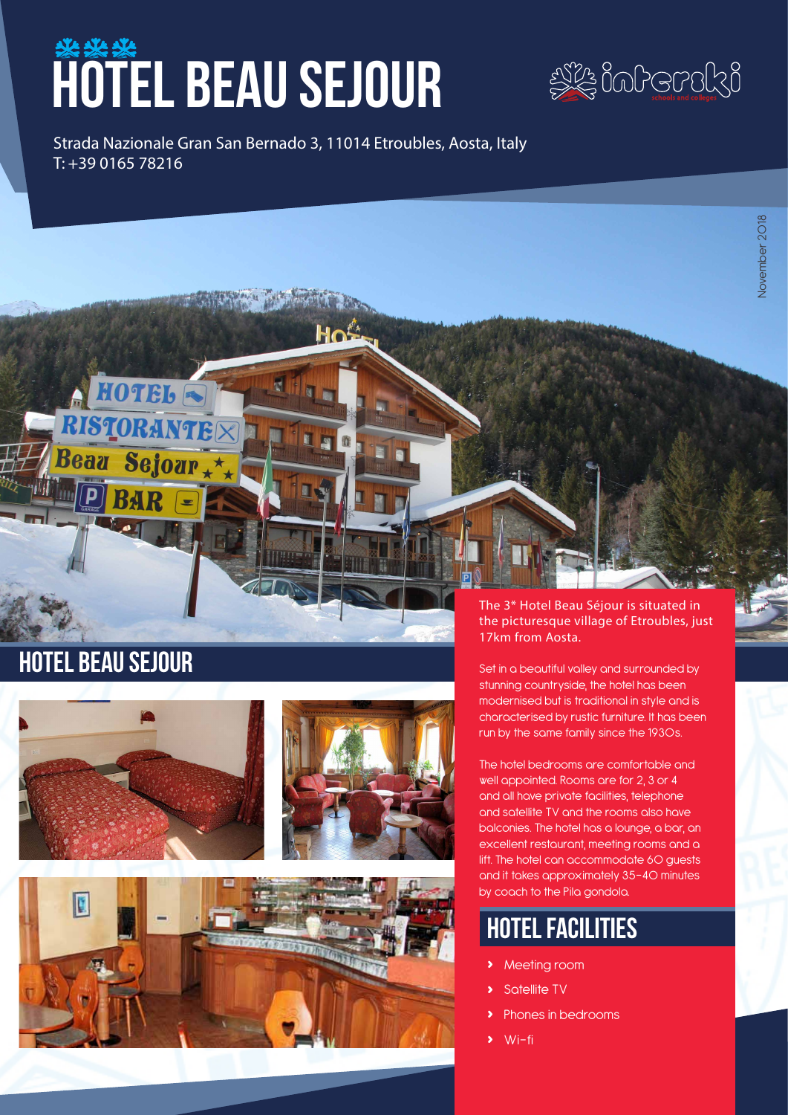# **HOTEL BEAU SEJOUR**



Strada Nazionale Gran San Bernado 3, 11014 Etroubles, Aosta, Italy T: +39 0165 78216

Hoi



HOTEL R

STORANT





The 3\* Hotel Beau Séjour is situated in the picturesque village of Etroubles, just 17km from Aosta.

Set in a beautiful valley and surrounded by stunning countryside, the hotel has been modernised but is traditional in style and is characterised by rustic furniture. It has been run by the same family since the 1930s.

The hotel bedrooms are comfortable and well appointed. Rooms are for 2, 3 or 4 and all have private facilities, telephone and satellite TV and the rooms also have balconies. The hotel has a lounge, a bar, an excellent restaurant, meeting rooms and a lift. The hotel can accommodate 60 guests and it takes approximately 35-40 minutes by coach to the Pila gondola.

## hotel facilities

- **›** Meeting room
- **›** Satellite TV
- **›** Phones in bedrooms
- **›** Wi-fi